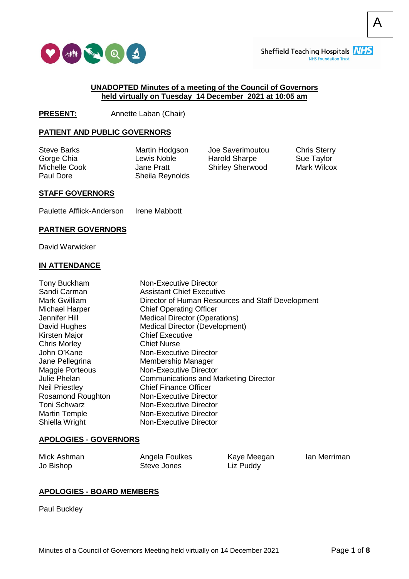

A

#### **UNADOPTED Minutes of a meeting of the Council of Governors held virtually on Tuesday 14 December 2021 at 10:05 am**

**PRESENT:** Annette Laban (Chair)

### **PATIENT AND PUBLIC GOVERNORS**

Steve Barks Gorge Chia Michelle Cook Paul Dore

Martin Hodgson Lewis Noble Jane Pratt Sheila Reynolds Joe Saverimoutou Harold Sharpe Shirley Sherwood Chris Sterry Sue Taylor Mark Wilcox

### **STAFF GOVERNORS**

Paulette Afflick-Anderson Irene Mabbott

#### **PARTNER GOVERNORS**

David Warwicker

#### **IN ATTENDANCE**

| Tony Buckham<br>Sandi Carman<br>Mark Gwilliam<br>Michael Harper<br>Jennifer Hill<br>David Hughes<br>Kirsten Major | <b>Non-Executive Director</b><br><b>Assistant Chief Executive</b><br>Director of Human Resources and Staff Development<br><b>Chief Operating Officer</b><br><b>Medical Director (Operations)</b><br>Medical Director (Development)<br><b>Chief Executive</b> |
|-------------------------------------------------------------------------------------------------------------------|--------------------------------------------------------------------------------------------------------------------------------------------------------------------------------------------------------------------------------------------------------------|
| <b>Chris Morley</b>                                                                                               | <b>Chief Nurse</b>                                                                                                                                                                                                                                           |
| John O'Kane                                                                                                       | Non-Executive Director                                                                                                                                                                                                                                       |
| Jane Pellegrina                                                                                                   | Membership Manager                                                                                                                                                                                                                                           |
| Maggie Porteous                                                                                                   | Non-Executive Director                                                                                                                                                                                                                                       |
| Julie Phelan                                                                                                      | <b>Communications and Marketing Director</b>                                                                                                                                                                                                                 |
| <b>Neil Priestley</b>                                                                                             | <b>Chief Finance Officer</b>                                                                                                                                                                                                                                 |
| Rosamond Roughton                                                                                                 | <b>Non-Executive Director</b>                                                                                                                                                                                                                                |
| <b>Toni Schwarz</b>                                                                                               | Non-Executive Director                                                                                                                                                                                                                                       |
| <b>Martin Temple</b>                                                                                              | Non-Executive Director                                                                                                                                                                                                                                       |
| Shiella Wright                                                                                                    | Non-Executive Director                                                                                                                                                                                                                                       |
|                                                                                                                   |                                                                                                                                                                                                                                                              |

#### **APOLOGIES - GOVERNORS**

Mick Ashman Jo Bishop

Angela Foulkes Steve Jones

Kaye Meegan Liz Puddy

Ian Merriman

#### **APOLOGIES - BOARD MEMBERS**

Paul Buckley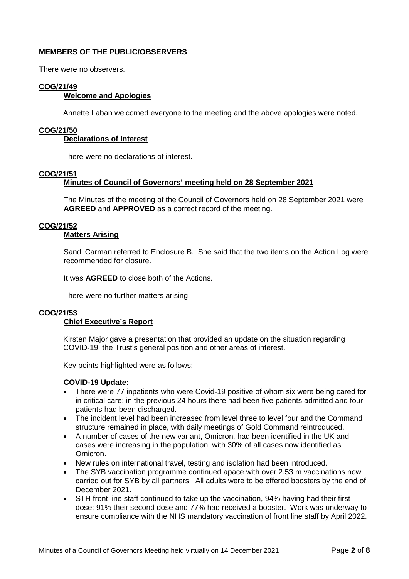# **MEMBERS OF THE PUBLIC/OBSERVERS**

There were no observers.

## **COG/21/49**

## **Welcome and Apologies**

Annette Laban welcomed everyone to the meeting and the above apologies were noted.

### **COG/21/50**

### **Declarations of Interest**

There were no declarations of interest.

### **COG/21/51**

## **Minutes of Council of Governors' meeting held on 28 September 2021**

The Minutes of the meeting of the Council of Governors held on 28 September 2021 were **AGREED** and **APPROVED** as a correct record of the meeting.

## **COG/21/52**

# **Matters Arising**

Sandi Carman referred to Enclosure B. She said that the two items on the Action Log were recommended for closure.

It was **AGREED** to close both of the Actions.

There were no further matters arising.

#### **COG/21/53**

## **Chief Executive's Report**

Kirsten Major gave a presentation that provided an update on the situation regarding COVID-19, the Trust's general position and other areas of interest.

Key points highlighted were as follows:

#### **COVID-19 Update:**

- There were 77 inpatients who were Covid-19 positive of whom six were being cared for in critical care; in the previous 24 hours there had been five patients admitted and four patients had been discharged.
- The incident level had been increased from level three to level four and the Command structure remained in place, with daily meetings of Gold Command reintroduced.
- A number of cases of the new variant, Omicron, had been identified in the UK and cases were increasing in the population, with 30% of all cases now identified as Omicron.
- New rules on international travel, testing and isolation had been introduced.
- The SYB vaccination programme continued apace with over 2.53 m vaccinations now carried out for SYB by all partners. All adults were to be offered boosters by the end of December 2021.
- STH front line staff continued to take up the vaccination, 94% having had their first dose; 91% their second dose and 77% had received a booster. Work was underway to ensure compliance with the NHS mandatory vaccination of front line staff by April 2022.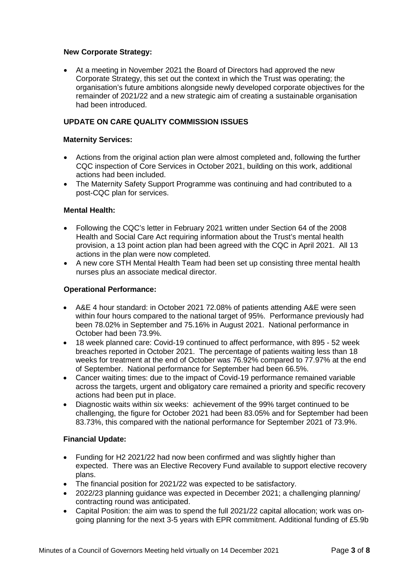### **New Corporate Strategy:**

• At a meeting in November 2021 the Board of Directors had approved the new Corporate Strategy, this set out the context in which the Trust was operating; the organisation's future ambitions alongside newly developed corporate objectives for the remainder of 2021/22 and a new strategic aim of creating a sustainable organisation had been introduced.

# **UPDATE ON CARE QUALITY COMMISSION ISSUES**

## **Maternity Services:**

- Actions from the original action plan were almost completed and, following the further CQC inspection of Core Services in October 2021, building on this work, additional actions had been included.
- The Maternity Safety Support Programme was continuing and had contributed to a post-CQC plan for services.

## **Mental Health:**

- Following the CQC's letter in February 2021 written under Section 64 of the 2008 Health and Social Care Act requiring information about the Trust's mental health provision, a 13 point action plan had been agreed with the CQC in April 2021. All 13 actions in the plan were now completed.
- A new core STH Mental Health Team had been set up consisting three mental health nurses plus an associate medical director.

### **Operational Performance:**

- A&E 4 hour standard: in October 2021 72.08% of patients attending A&E were seen within four hours compared to the national target of 95%. Performance previously had been 78.02% in September and 75.16% in August 2021. National performance in October had been 73.9%.
- 18 week planned care: Covid-19 continued to affect performance, with 895 52 week breaches reported in October 2021. The percentage of patients waiting less than 18 weeks for treatment at the end of October was 76.92% compared to 77.97% at the end of September. National performance for September had been 66.5%.
- Cancer waiting times: due to the impact of Covid-19 performance remained variable across the targets, urgent and obligatory care remained a priority and specific recovery actions had been put in place.
- Diagnostic waits within six weeks: achievement of the 99% target continued to be challenging, the figure for October 2021 had been 83.05% and for September had been 83.73%, this compared with the national performance for September 2021 of 73.9%.

## **Financial Update:**

- Funding for H2 2021/22 had now been confirmed and was slightly higher than expected. There was an Elective Recovery Fund available to support elective recovery plans.
- The financial position for 2021/22 was expected to be satisfactory.
- 2022/23 planning guidance was expected in December 2021; a challenging planning/ contracting round was anticipated.
- Capital Position: the aim was to spend the full 2021/22 capital allocation; work was ongoing planning for the next 3-5 years with EPR commitment. Additional funding of £5.9b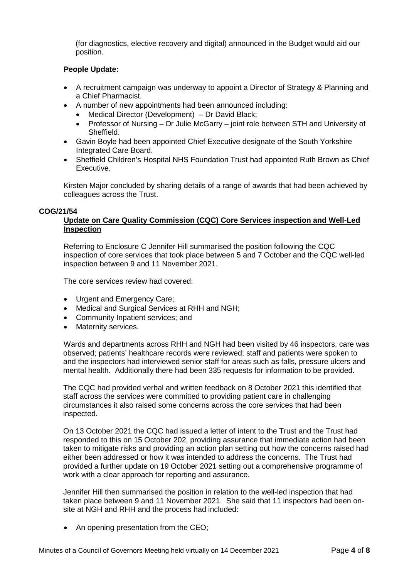(for diagnostics, elective recovery and digital) announced in the Budget would aid our position.

# **People Update:**

- A recruitment campaign was underway to appoint a Director of Strategy & Planning and a Chief Pharmacist.
- A number of new appointments had been announced including:
	- Medical Director (Development) Dr David Black;
	- Professor of Nursing Dr Julie McGarry joint role between STH and University of Sheffield.
- Gavin Boyle had been appointed Chief Executive designate of the South Yorkshire Integrated Care Board.
- Sheffield Children's Hospital NHS Foundation Trust had appointed Ruth Brown as Chief Executive.

Kirsten Major concluded by sharing details of a range of awards that had been achieved by colleagues across the Trust.

### **COG/21/54**

# **Update on Care Quality Commission (CQC) Core Services inspection and Well-Led Inspection**

Referring to Enclosure C Jennifer Hill summarised the position following the CQC inspection of core services that took place between 5 and 7 October and the CQC well-led inspection between 9 and 11 November 2021.

The core services review had covered:

- Urgent and Emergency Care:
- Medical and Surgical Services at RHH and NGH:
- Community Inpatient services; and
- Maternity services.

Wards and departments across RHH and NGH had been visited by 46 inspectors, care was observed; patients' healthcare records were reviewed; staff and patients were spoken to and the inspectors had interviewed senior staff for areas such as falls, pressure ulcers and mental health. Additionally there had been 335 requests for information to be provided.

The CQC had provided verbal and written feedback on 8 October 2021 this identified that staff across the services were committed to providing patient care in challenging circumstances it also raised some concerns across the core services that had been inspected.

On 13 October 2021 the CQC had issued a letter of intent to the Trust and the Trust had responded to this on 15 October 202, providing assurance that immediate action had been taken to mitigate risks and providing an action plan setting out how the concerns raised had either been addressed or how it was intended to address the concerns. The Trust had provided a further update on 19 October 2021 setting out a comprehensive programme of work with a clear approach for reporting and assurance.

Jennifer Hill then summarised the position in relation to the well-led inspection that had taken place between 9 and 11 November 2021. She said that 11 inspectors had been onsite at NGH and RHH and the process had included:

• An opening presentation from the CEO;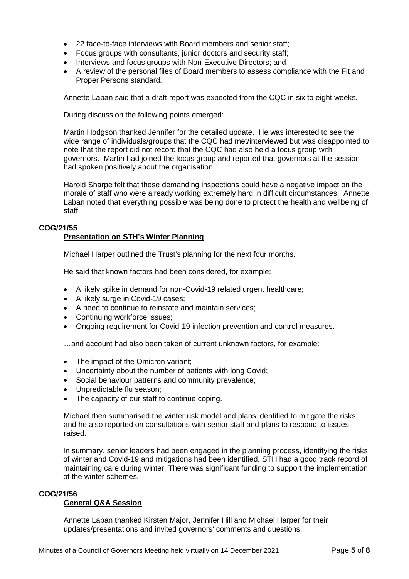- 22 face-to-face interviews with Board members and senior staff;
- Focus groups with consultants, junior doctors and security staff;
- Interviews and focus groups with Non-Executive Directors; and
- A review of the personal files of Board members to assess compliance with the Fit and Proper Persons standard.

Annette Laban said that a draft report was expected from the CQC in six to eight weeks.

During discussion the following points emerged:

Martin Hodgson thanked Jennifer for the detailed update. He was interested to see the wide range of individuals/groups that the CQC had met/interviewed but was disappointed to note that the report did not record that the CQC had also held a focus group with governors. Martin had joined the focus group and reported that governors at the session had spoken positively about the organisation.

Harold Sharpe felt that these demanding inspections could have a negative impact on the morale of staff who were already working extremely hard in difficult circumstances. Annette Laban noted that everything possible was being done to protect the health and wellbeing of staff.

# **COG/21/55**

# **Presentation on STH's Winter Planning**

Michael Harper outlined the Trust's planning for the next four months.

He said that known factors had been considered, for example:

- A likely spike in demand for non-Covid-19 related urgent healthcare;
- A likely surge in Covid-19 cases;
- A need to continue to reinstate and maintain services;
- Continuing workforce issues;
- Ongoing requirement for Covid-19 infection prevention and control measures.

…and account had also been taken of current unknown factors, for example:

- The impact of the Omicron variant:
- Uncertainty about the number of patients with long Covid;
- Social behaviour patterns and community prevalence;
- Unpredictable flu season;
- The capacity of our staff to continue coping.

Michael then summarised the winter risk model and plans identified to mitigate the risks and he also reported on consultations with senior staff and plans to respond to issues raised.

In summary, senior leaders had been engaged in the planning process, identifying the risks of winter and Covid-19 and mitigations had been identified. STH had a good track record of maintaining care during winter. There was significant funding to support the implementation of the winter schemes.

#### **COG/21/56**

# **General Q&A Session**

Annette Laban thanked Kirsten Major, Jennifer Hill and Michael Harper for their updates/presentations and invited governors' comments and questions.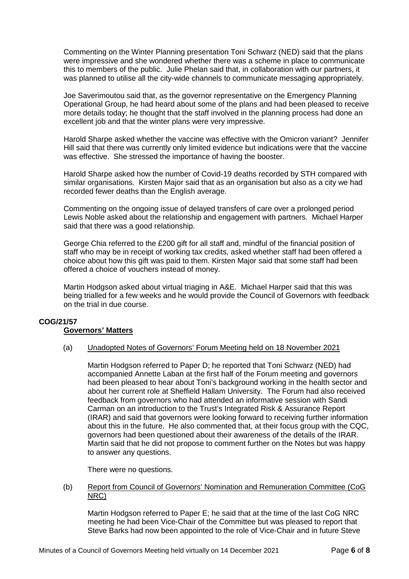Commenting on the Winter Planning presentation Toni Schwarz (NED) said that the plans were impressive and she wondered whether there was a scheme in place to communicate this to members of the public. Julie Phelan said that, in collaboration with our partners, it was planned to utilise all the city-wide channels to communicate messaging appropriately.

Joe Saverimoutou said that, as the governor representative on the Emergency Planning Operational Group, he had heard about some of the plans and had been pleased to receive more details today; he thought that the staff involved in the planning process had done an excellent job and that the winter plans were very impressive.

Harold Sharpe asked whether the vaccine was effective with the Omicron variant? Jennifer Hill said that there was currently only limited evidence but indications were that the vaccine was effective. She stressed the importance of having the booster.

Harold Sharpe asked how the number of Covid-19 deaths recorded by STH compared with similar organisations. Kirsten Major said that as an organisation but also as a city we had recorded fewer deaths than the English average.

Commenting on the ongoing issue of delayed transfers of care over a prolonged period Lewis Noble asked about the relationship and engagement with partners. Michael Harper said that there was a good relationship.

George Chia referred to the £200 gift for all staff and, mindful of the financial position of staff who may be in receipt of working tax credits, asked whether staff had been offered a choice about how this gift was paid to them. Kirsten Major said that some staff had been offered a choice of vouchers instead of money.

Martin Hodgson asked about virtual triaging in A&E. Michael Harper said that this was being trialled for a few weeks and he would provide the Council of Governors with feedback on the trial in due course.

#### **COG/21/57 Governors' Matters**

(a) Unadopted Notes of Governors' Forum Meeting held on 18 November 2021

Martin Hodgson referred to Paper D; he reported that Toni Schwarz (NED) had accompanied Annette Laban at the first half of the Forum meeting and governors had been pleased to hear about Toni's background working in the health sector and about her current role at Sheffield Hallam University. The Forum had also received feedback from governors who had attended an informative session with Sandi Carman on an introduction to the Trust's Integrated Risk & Assurance Report (IRAR) and said that governors were looking forward to receiving further information about this in the future. He also commented that, at their focus group with the CQC, governors had been questioned about their awareness of the details of the IRAR. Martin said that he did not propose to comment further on the Notes but was happy to answer any questions.

There were no questions.

(b) Report from Council of Governors' Nomination and Remuneration Committee (CoG NRC)

Martin Hodgson referred to Paper E; he said that at the time of the last CoG NRC meeting he had been Vice-Chair of the Committee but was pleased to report that Steve Barks had now been appointed to the role of Vice-Chair and in future Steve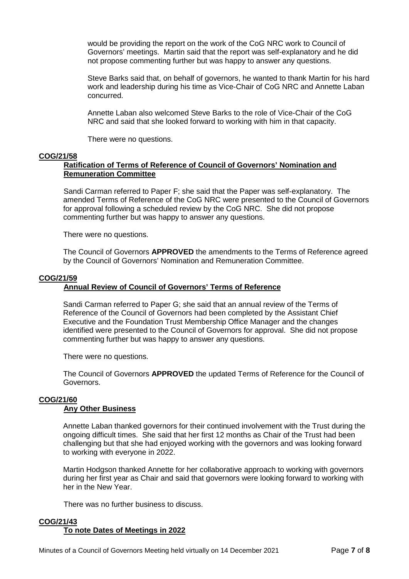would be providing the report on the work of the CoG NRC work to Council of Governors' meetings. Martin said that the report was self-explanatory and he did not propose commenting further but was happy to answer any questions.

Steve Barks said that, on behalf of governors, he wanted to thank Martin for his hard work and leadership during his time as Vice-Chair of CoG NRC and Annette Laban concurred.

Annette Laban also welcomed Steve Barks to the role of Vice-Chair of the CoG NRC and said that she looked forward to working with him in that capacity.

There were no questions.

### **COG/21/58**

## **Ratification of Terms of Reference of Council of Governors' Nomination and Remuneration Committee**

Sandi Carman referred to Paper F; she said that the Paper was self-explanatory. The amended Terms of Reference of the CoG NRC were presented to the Council of Governors for approval following a scheduled review by the CoG NRC. She did not propose commenting further but was happy to answer any questions.

There were no questions.

The Council of Governors **APPROVED** the amendments to the Terms of Reference agreed by the Council of Governors' Nomination and Remuneration Committee.

### **COG/21/59**

## **Annual Review of Council of Governors' Terms of Reference**

Sandi Carman referred to Paper G; she said that an annual review of the Terms of Reference of the Council of Governors had been completed by the Assistant Chief Executive and the Foundation Trust Membership Office Manager and the changes identified were presented to the Council of Governors for approval. She did not propose commenting further but was happy to answer any questions.

There were no questions.

The Council of Governors **APPROVED** the updated Terms of Reference for the Council of Governors.

### **COG/21/60**

#### **Any Other Business**

Annette Laban thanked governors for their continued involvement with the Trust during the ongoing difficult times. She said that her first 12 months as Chair of the Trust had been challenging but that she had enjoyed working with the governors and was looking forward to working with everyone in 2022.

Martin Hodgson thanked Annette for her collaborative approach to working with governors during her first year as Chair and said that governors were looking forward to working with her in the New Year.

There was no further business to discuss.

#### **COG/21/43**

#### **To note Dates of Meetings in 2022**